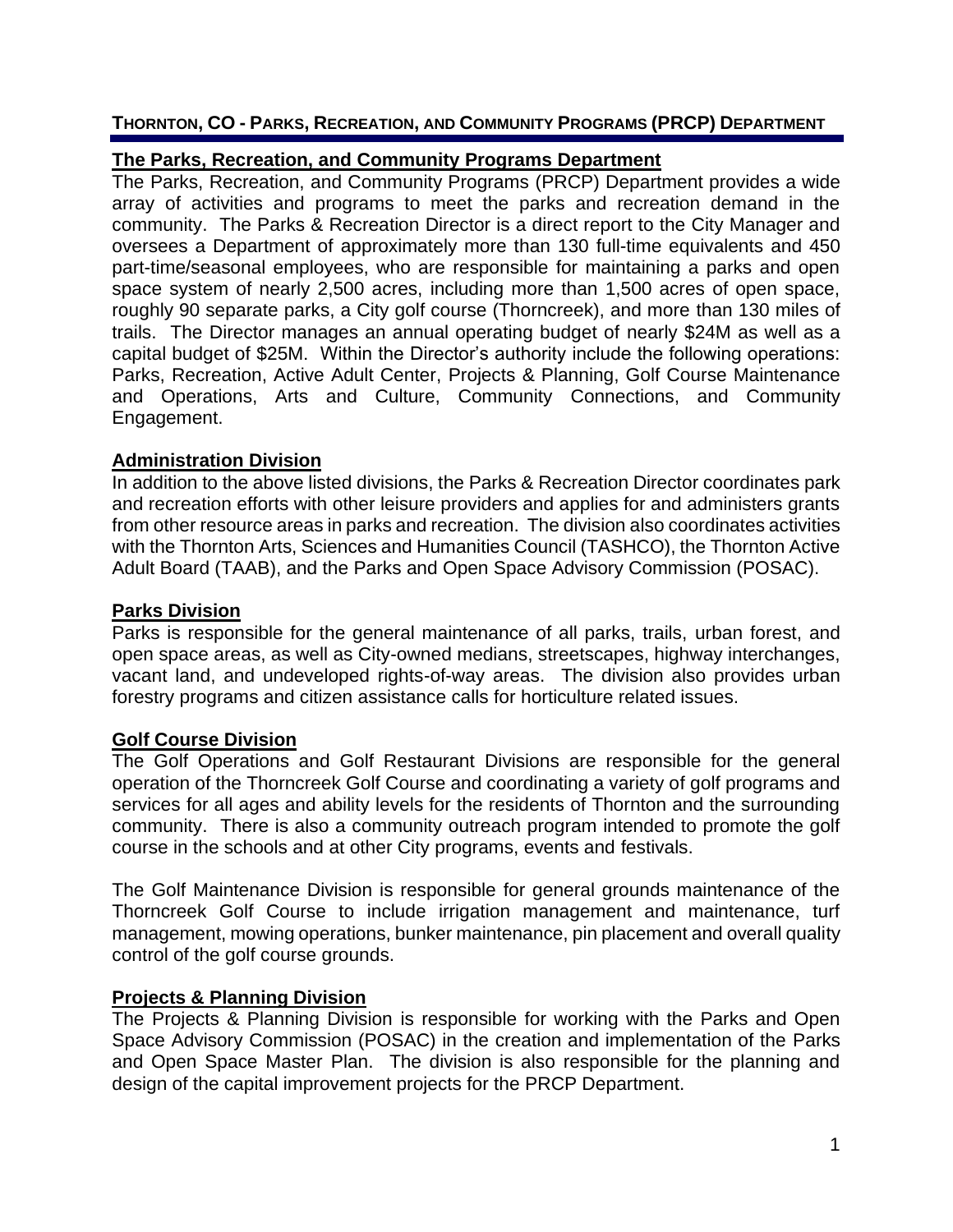### **THORNTON, CO - PARKS, RECREATION, AND COMMUNITY PROGRAMS (PRCP) DEPARTMENT**

# **The Parks, Recreation, and Community Programs Department**

The Parks, Recreation, and Community Programs (PRCP) Department provides a wide array of activities and programs to meet the parks and recreation demand in the community. The Parks & Recreation Director is a direct report to the City Manager and oversees a Department of approximately more than 130 full-time equivalents and 450 part-time/seasonal employees, who are responsible for maintaining a parks and open space system of nearly 2,500 acres, including more than 1,500 acres of open space, roughly 90 separate parks, a City golf course (Thorncreek), and more than 130 miles of trails. The Director manages an annual operating budget of nearly \$24M as well as a capital budget of \$25M. Within the Director's authority include the following operations: Parks, Recreation, Active Adult Center, Projects & Planning, Golf Course Maintenance and Operations, Arts and Culture, Community Connections, and Community Engagement.

### **Administration Division**

In addition to the above listed divisions, the Parks & Recreation Director coordinates park and recreation efforts with other leisure providers and applies for and administers grants from other resource areas in parks and recreation. The division also coordinates activities with the Thornton Arts, Sciences and Humanities Council (TASHCO), the Thornton Active Adult Board (TAAB), and the Parks and Open Space Advisory Commission (POSAC).

## **Parks Division**

Parks is responsible for the general maintenance of all parks, trails, urban forest, and open space areas, as well as City-owned medians, streetscapes, highway interchanges, vacant land, and undeveloped rights-of-way areas. The division also provides urban forestry programs and citizen assistance calls for horticulture related issues.

### **Golf Course Division**

The Golf Operations and Golf Restaurant Divisions are responsible for the general operation of the Thorncreek Golf Course and coordinating a variety of golf programs and services for all ages and ability levels for the residents of Thornton and the surrounding community. There is also a community outreach program intended to promote the golf course in the schools and at other City programs, events and festivals.

The Golf Maintenance Division is responsible for general grounds maintenance of the Thorncreek Golf Course to include irrigation management and maintenance, turf management, mowing operations, bunker maintenance, pin placement and overall quality control of the golf course grounds.

### **Projects & Planning Division**

The Projects & Planning Division is responsible for working with the Parks and Open Space Advisory Commission (POSAC) in the creation and implementation of the Parks and Open Space Master Plan. The division is also responsible for the planning and design of the capital improvement projects for the PRCP Department.